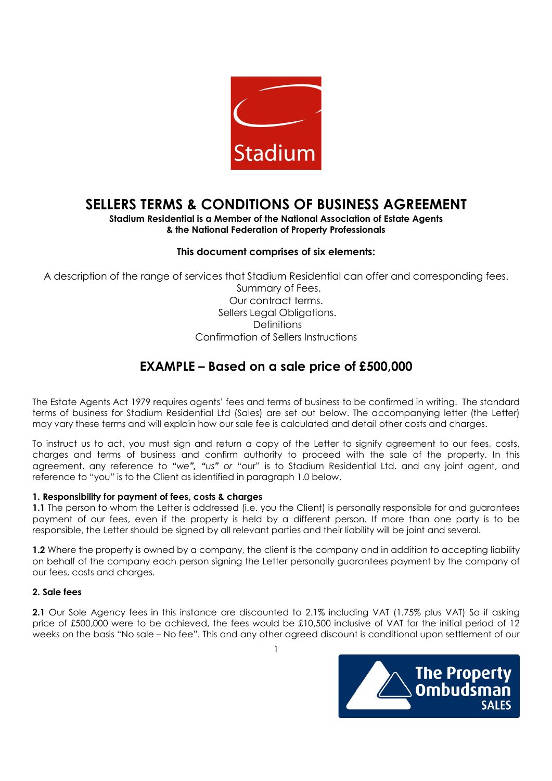

# SELLERS TERMS & CONDITIONS OF BUSINESS AGREEMENT

# Stadium Residential is a Member of the National Association of Estate Agents & the National Federation of Property Professionals

# This document comprises of six elements:

A description of the range of services that Stadium Residential can offer and corresponding fees.

 Summary of Fees. Our contract terms. Sellers Legal Obligations. **Definitions** Confirmation of Sellers Instructions

# EXAMPLE – Based on a sale price of £500,000

The Estate Agents Act 1979 requires agents' fees and terms of business to be confirmed in writing. The standard terms of business for Stadium Residential Ltd (Sales) are set out below. The accompanying letter (the Letter) may vary these terms and will explain how our sale fee is calculated and detail other costs and charges.

To instruct us to act, you must sign and return a copy of the Letter to signify agreement to our fees, costs, charges and terms of business and confirm authority to proceed with the sale of the property. In this agreement, any reference to "we", "us" or "our" is to Stadium Residential Ltd. and any joint agent, and reference to "you" is to the Client as identified in paragraph 1.0 below.

# 1. Responsibility for payment of fees, costs & charges

1.1 The person to whom the Letter is addressed (i.e. you the Client) is personally responsible for and guarantees payment of our fees, even if the property is held by a different person. If more than one party is to be responsible, the Letter should be signed by all relevant parties and their liability will be joint and several.

1.2 Where the property is owned by a company, the client is the company and in addition to accepting liability on behalf of the company each person signing the Letter personally guarantees payment by the company of our fees, costs and charges.

# 2. Sale fees

2.1 Our Sole Agency fees in this instance are discounted to 2.1% including VAT (1.75% plus VAT) So if asking price of £500,000 were to be achieved, the fees would be £10,500 inclusive of VAT for the initial period of 12 weeks on the basis "No sale – No fee". This and any other agreed discount is conditional upon settlement of our

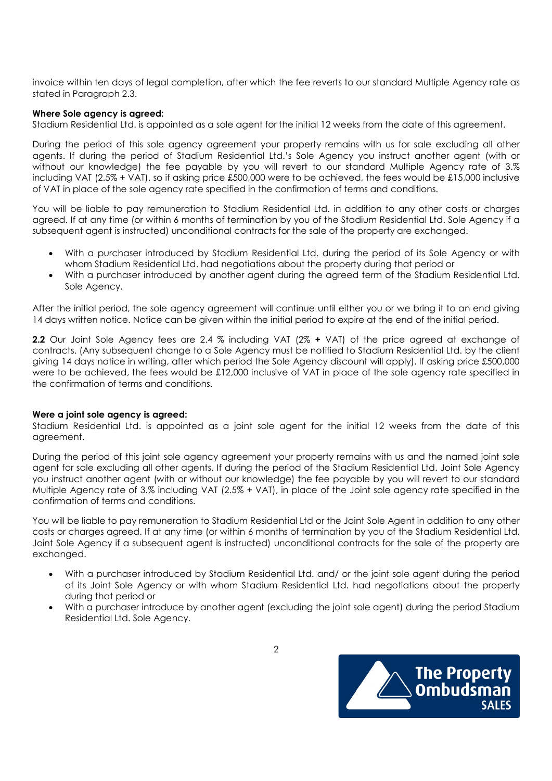invoice within ten days of legal completion, after which the fee reverts to our standard Multiple Agency rate as stated in Paragraph 2.3.

## Where Sole agency is agreed:

Stadium Residential Ltd. is appointed as a sole agent for the initial 12 weeks from the date of this agreement.

During the period of this sole agency agreement your property remains with us for sale excluding all other agents. If during the period of Stadium Residential Ltd.'s Sole Agency you instruct another agent (with or without our knowledge) the fee payable by you will revert to our standard Multiple Agency rate of 3.% including VAT (2.5% + VAT), so if asking price £500,000 were to be achieved, the fees would be £15,000 inclusive of VAT in place of the sole agency rate specified in the confirmation of terms and conditions.

You will be liable to pay remuneration to Stadium Residential Ltd. in addition to any other costs or charges agreed. If at any time (or within 6 months of termination by you of the Stadium Residential Ltd. Sole Agency if a subsequent agent is instructed) unconditional contracts for the sale of the property are exchanged.

- With a purchaser introduced by Stadium Residential Ltd. during the period of its Sole Agency or with whom Stadium Residential Ltd. had negotiations about the property during that period or
- With a purchaser introduced by another agent during the agreed term of the Stadium Residential Ltd. Sole Agency.

After the initial period, the sole agency agreement will continue until either you or we bring it to an end giving 14 days written notice. Notice can be given within the initial period to expire at the end of the initial period.

2.2 Our Joint Sole Agency fees are 2.4 % including VAT (2% + VAT) of the price agreed at exchange of contracts. (Any subsequent change to a Sole Agency must be notified to Stadium Residential Ltd. by the client giving 14 days notice in writing, after which period the Sole Agency discount will apply). If asking price £500,000 were to be achieved, the fees would be £12,000 inclusive of VAT in place of the sole agency rate specified in the confirmation of terms and conditions.

# Were a joint sole agency is agreed:

Stadium Residential Ltd. is appointed as a joint sole agent for the initial 12 weeks from the date of this agreement.

During the period of this joint sole agency agreement your property remains with us and the named joint sole agent for sale excluding all other agents. If during the period of the Stadium Residential Ltd. Joint Sole Agency you instruct another agent (with or without our knowledge) the fee payable by you will revert to our standard Multiple Agency rate of 3.% including VAT (2.5% + VAT), in place of the Joint sole agency rate specified in the confirmation of terms and conditions.

You will be liable to pay remuneration to Stadium Residential Ltd or the Joint Sole Agent in addition to any other costs or charges agreed. If at any time (or within 6 months of termination by you of the Stadium Residential Ltd. Joint Sole Agency if a subsequent agent is instructed) unconditional contracts for the sale of the property are exchanged.

- With a purchaser introduced by Stadium Residential Ltd. and/ or the joint sole agent during the period of its Joint Sole Agency or with whom Stadium Residential Ltd. had negotiations about the property during that period or
- With a purchaser introduce by another agent (excluding the joint sole agent) during the period Stadium Residential Ltd. Sole Agency.



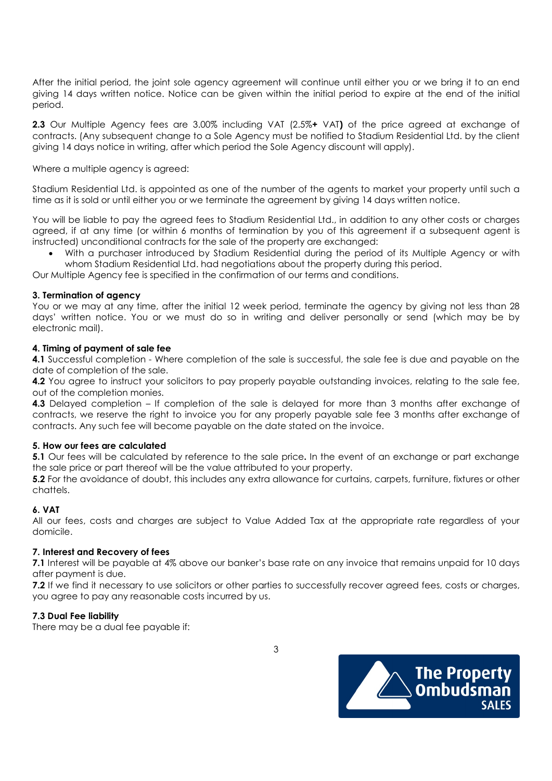After the initial period, the joint sole agency agreement will continue until either you or we bring it to an end giving 14 days written notice. Notice can be given within the initial period to expire at the end of the initial period.

2.3 Our Multiple Agency fees are 3.00% including VAT (2.5%+ VAT) of the price agreed at exchange of contracts. (Any subsequent change to a Sole Agency must be notified to Stadium Residential Ltd. by the client giving 14 days notice in writing, after which period the Sole Agency discount will apply).

Where a multiple agency is agreed:

Stadium Residential Ltd. is appointed as one of the number of the agents to market your property until such a time as it is sold or until either you or we terminate the agreement by giving 14 days written notice.

You will be liable to pay the agreed fees to Stadium Residential Ltd., in addition to any other costs or charges agreed, if at any time (or within 6 months of termination by you of this agreement if a subsequent agent is instructed) unconditional contracts for the sale of the property are exchanged:

 With a purchaser introduced by Stadium Residential during the period of its Multiple Agency or with whom Stadium Residential Ltd. had negotiations about the property during this period.

Our Multiple Agency fee is specified in the confirmation of our terms and conditions.

# 3. Termination of agency

You or we may at any time, after the initial 12 week period, terminate the agency by giving not less than 28 days' written notice. You or we must do so in writing and deliver personally or send (which may be by electronic mail).

# 4. Timing of payment of sale fee

4.1 Successful completion - Where completion of the sale is successful, the sale fee is due and payable on the date of completion of the sale.

4.2 You agree to instruct your solicitors to pay properly payable outstanding invoices, relating to the sale fee, out of the completion monies.

4.3 Delayed completion – If completion of the sale is delayed for more than 3 months after exchange of contracts, we reserve the right to invoice you for any properly payable sale fee 3 months after exchange of contracts. Any such fee will become payable on the date stated on the invoice.

# 5. How our fees are calculated

5.1 Our fees will be calculated by reference to the sale price. In the event of an exchange or part exchange the sale price or part thereof will be the value attributed to your property.

5.2 For the avoidance of doubt, this includes any extra allowance for curtains, carpets, furniture, fixtures or other chattels.

# 6. VAT

All our fees, costs and charges are subject to Value Added Tax at the appropriate rate regardless of your domicile.

# 7. Interest and Recovery of fees

7.1 Interest will be payable at 4% above our banker's base rate on any invoice that remains unpaid for 10 days after payment is due.

7.2 If we find it necessary to use solicitors or other parties to successfully recover agreed fees, costs or charges, you agree to pay any reasonable costs incurred by us.

# 7.3 Dual Fee liability

There may be a dual fee payable if:

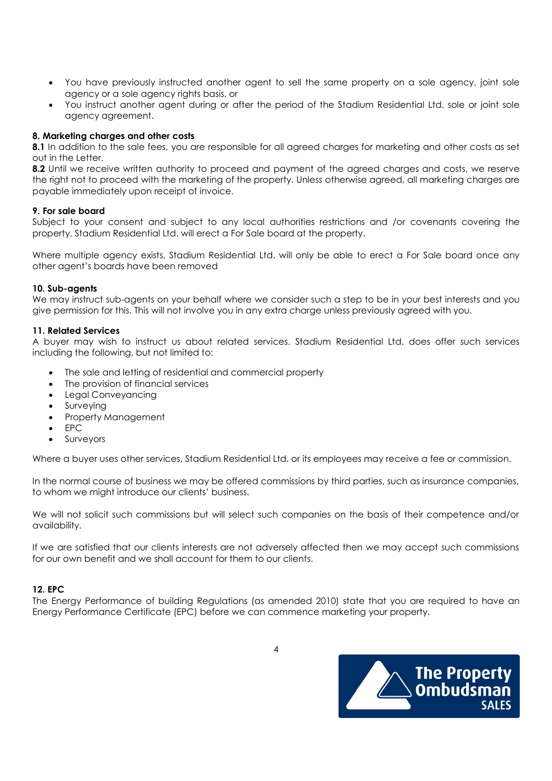- You have previously instructed another agent to sell the same property on a sole agency, joint sole agency or a sole agency rights basis, or
- You instruct another agent during or after the period of the Stadium Residential Ltd. sole or joint sole agency agreement.

## 8. Marketing charges and other costs

8.1 In addition to the sale fees, you are responsible for all agreed charges for marketing and other costs as set out in the Letter.

8.2 Until we receive written authority to proceed and payment of the agreed charges and costs, we reserve the right not to proceed with the marketing of the property. Unless otherwise agreed, all marketing charges are payable immediately upon receipt of invoice.

#### 9. For sale board

Subject to your consent and subject to any local authorities restrictions and /or covenants covering the property, Stadium Residential Ltd. will erect a For Sale board at the property.

Where multiple agency exists, Stadium Residential Ltd. will only be able to erect a For Sale board once any other agent's boards have been removed

#### 10. Sub-agents

We may instruct sub-agents on your behalf where we consider such a step to be in your best interests and you give permission for this. This will not involve you in any extra charge unless previously agreed with you.

#### 11. Related Services

A buyer may wish to instruct us about related services. Stadium Residential Ltd. does offer such services including the following, but not limited to:

- The sale and letting of residential and commercial property
- The provision of financial services
- Legal Conveyancing
- Surveying
- Property Management
- EPC
- Surveyors

Where a buyer uses other services, Stadium Residential Ltd. or its employees may receive a fee or commission.

In the normal course of business we may be offered commissions by third parties, such as insurance companies, to whom we might introduce our clients' business.

We will not solicit such commissions but will select such companies on the basis of their competence and/or availability.

If we are satisfied that our clients interests are not adversely affected then we may accept such commissions for our own benefit and we shall account for them to our clients.

#### 12. EPC

The Energy Performance of building Regulations (as amended 2010) state that you are required to have an Energy Performance Certificate (EPC) before we can commence marketing your property.



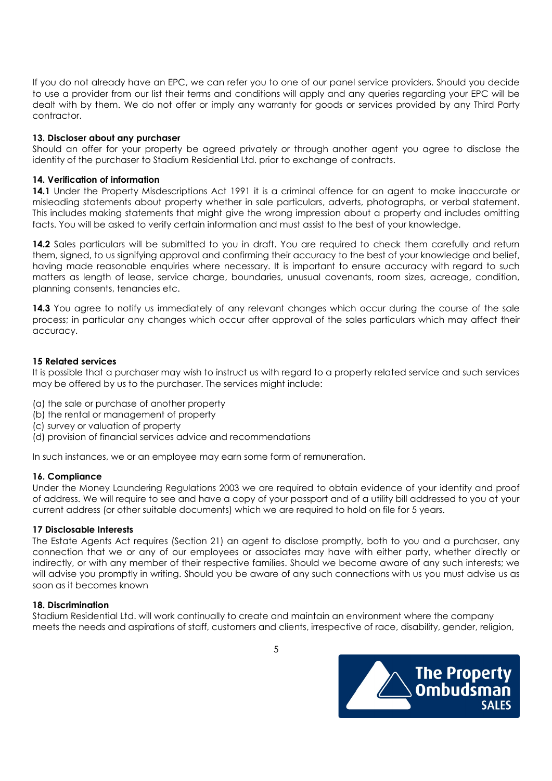If you do not already have an EPC, we can refer you to one of our panel service providers. Should you decide to use a provider from our list their terms and conditions will apply and any queries regarding your EPC will be dealt with by them. We do not offer or imply any warranty for goods or services provided by any Third Party contractor.

## 13. Discloser about any purchaser

Should an offer for your property be agreed privately or through another agent you agree to disclose the identity of the purchaser to Stadium Residential Ltd. prior to exchange of contracts.

#### 14. Verification of information

14.1 Under the Property Misdescriptions Act 1991 it is a criminal offence for an agent to make inaccurate or misleading statements about property whether in sale particulars, adverts, photographs, or verbal statement. This includes making statements that might give the wrong impression about a property and includes omitting facts. You will be asked to verify certain information and must assist to the best of your knowledge.

14.2 Sales particulars will be submitted to you in draft. You are required to check them carefully and return them, signed, to us signifying approval and confirming their accuracy to the best of your knowledge and belief, having made reasonable enquiries where necessary. It is important to ensure accuracy with regard to such matters as length of lease, service charge, boundaries, unusual covenants, room sizes, acreage, condition, planning consents, tenancies etc.

14.3 You agree to notify us immediately of any relevant changes which occur during the course of the sale process; in particular any changes which occur after approval of the sales particulars which may affect their accuracy.

#### 15 Related services

It is possible that a purchaser may wish to instruct us with regard to a property related service and such services may be offered by us to the purchaser. The services might include:

- (a) the sale or purchase of another property
- (b) the rental or management of property
- (c) survey or valuation of property
- (d) provision of financial services advice and recommendations

In such instances, we or an employee may earn some form of remuneration.

#### 16. Compliance

Under the Money Laundering Regulations 2003 we are required to obtain evidence of your identity and proof of address. We will require to see and have a copy of your passport and of a utility bill addressed to you at your current address (or other suitable documents) which we are required to hold on file for 5 years.

#### 17 Disclosable Interests

The Estate Agents Act requires (Section 21) an agent to disclose promptly, both to you and a purchaser, any connection that we or any of our employees or associates may have with either party, whether directly or indirectly, or with any member of their respective families. Should we become aware of any such interests; we will advise you promptly in writing. Should you be aware of any such connections with us you must advise us as soon as it becomes known

#### 18. Discrimination

Stadium Residential Ltd. will work continually to create and maintain an environment where the company meets the needs and aspirations of staff, customers and clients, irrespective of race, disability, gender, religion,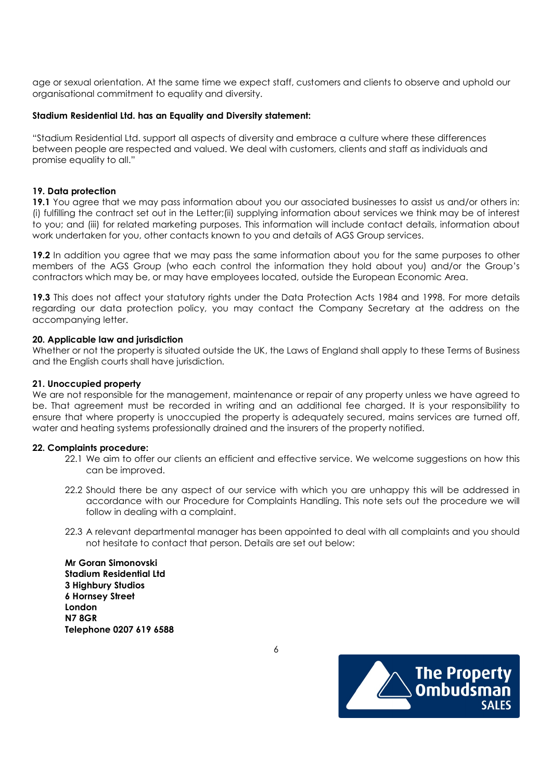age or sexual orientation. At the same time we expect staff, customers and clients to observe and uphold our organisational commitment to equality and diversity.

#### Stadium Residential Ltd. has an Equality and Diversity statement:

"Stadium Residential Ltd. support all aspects of diversity and embrace a culture where these differences between people are respected and valued. We deal with customers, clients and staff as individuals and promise equality to all."

#### 19. Data protection

19.1 You agree that we may pass information about you our associated businesses to assist us and/or others in: (i) fulfilling the contract set out in the Letter;(ii) supplying information about services we think may be of interest to you; and (iii) for related marketing purposes. This information will include contact details, information about work undertaken for you, other contacts known to you and details of AGS Group services.

19.2 In addition you agree that we may pass the same information about you for the same purposes to other members of the AGS Group (who each control the information they hold about you) and/or the Group's contractors which may be, or may have employees located, outside the European Economic Area.

19.3 This does not affect your statutory rights under the Data Protection Acts 1984 and 1998. For more details regarding our data protection policy, you may contact the Company Secretary at the address on the accompanying letter.

#### 20. Applicable law and jurisdiction

Whether or not the property is situated outside the UK, the Laws of England shall apply to these Terms of Business and the English courts shall have jurisdiction.

#### 21. Unoccupied property

We are not responsible for the management, maintenance or repair of any property unless we have agreed to be. That agreement must be recorded in writing and an additional fee charged. It is your responsibility to ensure that where property is unoccupied the property is adequately secured, mains services are turned off, water and heating systems professionally drained and the insurers of the property notified.

#### 22. Complaints procedure:

- 22.1 We aim to offer our clients an efficient and effective service. We welcome suggestions on how this can be improved.
- 22.2 Should there be any aspect of our service with which you are unhappy this will be addressed in accordance with our Procedure for Complaints Handling. This note sets out the procedure we will follow in dealing with a complaint.
- 22.3 A relevant departmental manager has been appointed to deal with all complaints and you should not hesitate to contact that person. Details are set out below:

Mr Goran Simonovski Stadium Residential Ltd 3 Highbury Studios 6 Hornsey Street London N7 8GR Telephone 0207 619 6588



 $\overline{6}$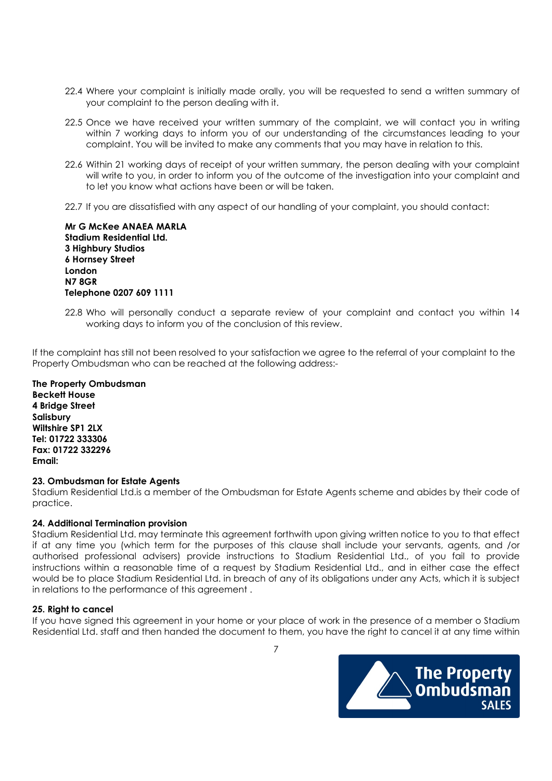- 22.4 Where your complaint is initially made orally, you will be requested to send a written summary of your complaint to the person dealing with it.
- 22.5 Once we have received your written summary of the complaint, we will contact you in writing within 7 working days to inform you of our understanding of the circumstances leading to your complaint. You will be invited to make any comments that you may have in relation to this.
- 22.6 Within 21 working days of receipt of your written summary, the person dealing with your complaint will write to you, in order to inform you of the outcome of the investigation into your complaint and to let you know what actions have been or will be taken.
- 22.7 If you are dissatisfied with any aspect of our handling of your complaint, you should contact:

Mr G McKee ANAEA MARLA Stadium Residential Ltd. 3 Highbury Studios 6 Hornsey Street London N7 8GR Telephone 0207 609 1111

22.8 Who will personally conduct a separate review of your complaint and contact you within 14 working days to inform you of the conclusion of this review.

If the complaint has still not been resolved to your satisfaction we agree to the referral of your complaint to the Property Ombudsman who can be reached at the following address:-

The Property Ombudsman Beckett House 4 Bridge Street Salisbury Wiltshire SP1 2LX Tel: 01722 333306 Fax: 01722 332296 Email:

#### 23. Ombudsman for Estate Agents

Stadium Residential Ltd.is a member of the Ombudsman for Estate Agents scheme and abides by their code of practice.

#### 24. Additional Termination provision

Stadium Residential Ltd. may terminate this agreement forthwith upon giving written notice to you to that effect if at any time you (which term for the purposes of this clause shall include your servants, agents, and /or authorised professional advisers) provide instructions to Stadium Residential Ltd., of you fail to provide instructions within a reasonable time of a request by Stadium Residential Ltd., and in either case the effect would be to place Stadium Residential Ltd. in breach of any of its obligations under any Acts, which it is subject in relations to the performance of this agreement .

# 25. Right to cancel

If you have signed this agreement in your home or your place of work in the presence of a member o Stadium Residential Ltd. staff and then handed the document to them, you have the right to cancel it at any time within

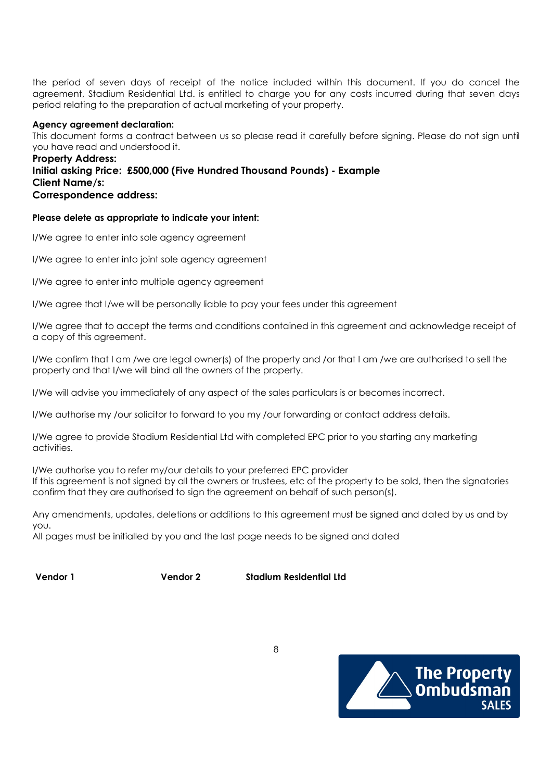the period of seven days of receipt of the notice included within this document. If you do cancel the agreement, Stadium Residential Ltd. is entitled to charge you for any costs incurred during that seven days period relating to the preparation of actual marketing of your property.

## Agency agreement declaration:

This document forms a contract between us so please read it carefully before signing. Please do not sign until you have read and understood it.

## Property Address: Initial asking Price: £500,000 (Five Hundred Thousand Pounds) - Example Client Name/s: Correspondence address:

#### Please delete as appropriate to indicate your intent:

I/We agree to enter into sole agency agreement

I/We agree to enter into joint sole agency agreement

I/We agree to enter into multiple agency agreement

I/We agree that I/we will be personally liable to pay your fees under this agreement

I/We agree that to accept the terms and conditions contained in this agreement and acknowledge receipt of a copy of this agreement.

I/We confirm that I am /we are legal owner(s) of the property and /or that I am /we are authorised to sell the property and that I/we will bind all the owners of the property.

I/We will advise you immediately of any aspect of the sales particulars is or becomes incorrect.

I/We authorise my /our solicitor to forward to you my /our forwarding or contact address details.

I/We agree to provide Stadium Residential Ltd with completed EPC prior to you starting any marketing activities.

I/We authorise you to refer my/our details to your preferred EPC provider

If this agreement is not signed by all the owners or trustees, etc of the property to be sold, then the signatories confirm that they are authorised to sign the agreement on behalf of such person(s).

Any amendments, updates, deletions or additions to this agreement must be signed and dated by us and by you.

All pages must be initialled by you and the last page needs to be signed and dated

Vendor 1 Vendor 2 Stadium Residential Ltd